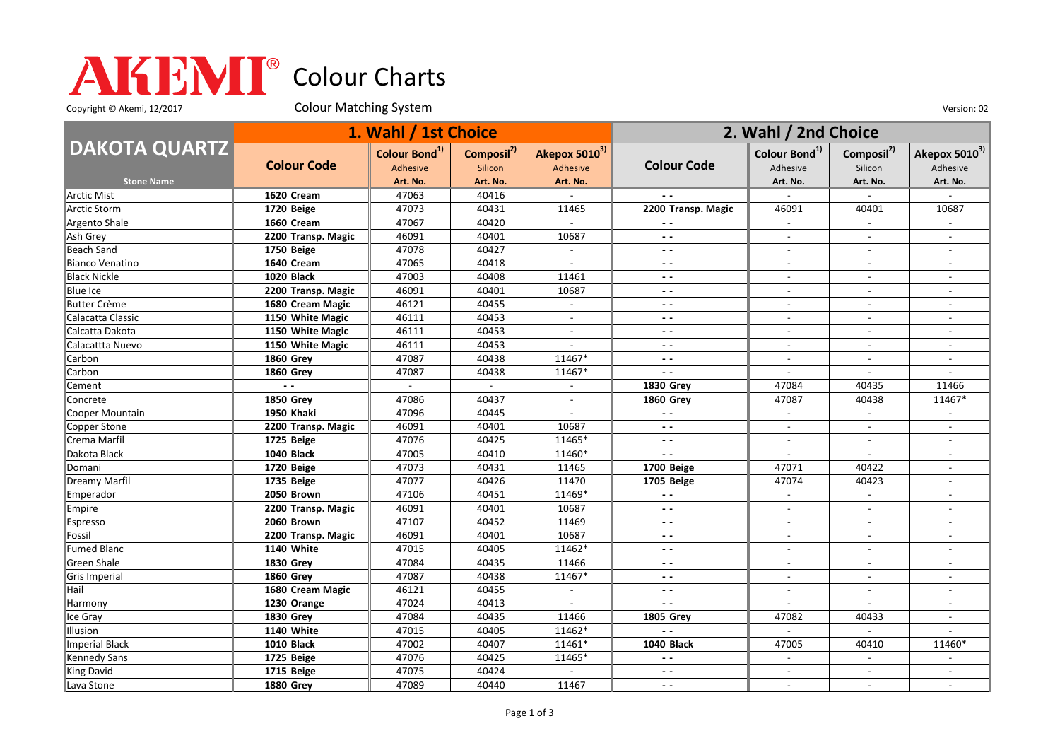## Colour Charts

Copyright © Akemi, 12/2017 Colour Matching System Colour Matching Consumers Colour Colour Matching System Version: 02

|                        | 1. Wahl / 1st Choice |                                       |                                   |                           | 2. Wahl / 2nd Choice |                                       |                                   |                                       |
|------------------------|----------------------|---------------------------------------|-----------------------------------|---------------------------|----------------------|---------------------------------------|-----------------------------------|---------------------------------------|
| <b>DAKOTA QUARTZ</b>   | <b>Colour Code</b>   | Colour Bond <sup>1)</sup><br>Adhesive | Composil <sup>2)</sup><br>Silicon | Akepox 50103)<br>Adhesive | <b>Colour Code</b>   | Colour Bond <sup>1)</sup><br>Adhesive | Composil <sup>2)</sup><br>Silicon | Akepox 5010 <sup>3)</sup><br>Adhesive |
| <b>Stone Name</b>      |                      | Art. No.                              | Art. No.                          | Art. No.                  |                      | Art. No.                              | Art. No.                          | Art. No.                              |
| <b>Arctic Mist</b>     | 1620 Cream           | 47063                                 | 40416                             |                           |                      |                                       |                                   |                                       |
| Arctic Storm           | 1720 Beige           | 47073                                 | 40431                             | 11465                     | 2200 Transp. Magic   | 46091                                 | 40401                             | 10687                                 |
| Argento Shale          | 1660 Cream           | 47067                                 | 40420                             |                           |                      | $\overline{a}$                        |                                   |                                       |
| Ash Grey               | 2200 Transp. Magic   | 46091                                 | 40401                             | 10687                     | $\sim$ $\sim$        | $\sim$                                | $\overline{a}$                    | $\overline{\phantom{a}}$              |
| Beach Sand             | 1750 Beige           | 47078                                 | 40427                             |                           | $ -$                 |                                       |                                   |                                       |
| <b>Bianco Venatino</b> | 1640 Cream           | 47065                                 | 40418                             | $\mathbb{Z}^2$            | $ -$                 | $\overline{a}$                        | $\overline{a}$                    | $\overline{a}$                        |
| <b>Black Nickle</b>    | <b>1020 Black</b>    | 47003                                 | 40408                             | 11461                     | $\sim$ $\sim$        | $\sim$                                | $\overline{a}$                    | $\overline{\phantom{a}}$              |
| <b>Blue Ice</b>        | 2200 Transp. Magic   | 46091                                 | 40401                             | 10687                     | $ -$                 | $\sim$                                | $\overline{a}$                    |                                       |
| <b>Butter Crème</b>    | 1680 Cream Magic     | 46121                                 | 40455                             | $\sim$                    | $\sim$ $\sim$        | $\sim$                                | $\overline{a}$                    | $\overline{a}$                        |
| Calacatta Classic      | 1150 White Magic     | 46111                                 | 40453                             | $\overline{a}$            | $ -$                 | $\overline{\phantom{a}}$              |                                   |                                       |
| Calcatta Dakota        | 1150 White Magic     | 46111                                 | 40453                             | $\blacksquare$            | $ -$                 | $\sim$                                | $\overline{\phantom{a}}$          | $\overline{\phantom{a}}$              |
| Calacattta Nuevo       | 1150 White Magic     | 46111                                 | 40453                             |                           | $\sim$ $\sim$        | $\blacksquare$                        | $\overline{\phantom{a}}$          | $\blacksquare$                        |
| Carbon                 | <b>1860 Grey</b>     | 47087                                 | 40438                             | 11467*                    | $ -$                 | $\sim$                                | $\sim$                            | $\overline{a}$                        |
| Carbon                 | <b>1860 Grey</b>     | 47087                                 | 40438                             | 11467*                    | $\sim$ $\sim$        |                                       |                                   |                                       |
| Cement                 | $\overline{a}$       | $\sim$                                |                                   | $\overline{\phantom{a}}$  | <b>1830 Grey</b>     | 47084                                 | 40435                             | 11466                                 |
| Concrete               | <b>1850 Grey</b>     | 47086                                 | 40437                             | $\sim$                    | <b>1860 Grev</b>     | 47087                                 | 40438                             | 11467*                                |
| Cooper Mountain        | <b>1950 Khaki</b>    | 47096                                 | 40445                             | $\overline{a}$            | $ -$                 | $\blacksquare$                        | $\overline{a}$                    |                                       |
| Copper Stone           | 2200 Transp. Magic   | 46091                                 | 40401                             | 10687                     | $ -$                 | $\sim$                                | $\sim$                            | $\sim$                                |
| Crema Marfil           | 1725 Beige           | 47076                                 | 40425                             | 11465*                    | $\sim$ $\sim$        | $\overline{\phantom{a}}$              |                                   |                                       |
| Dakota Black           | 1040 Black           | 47005                                 | 40410                             | 11460*                    | $\sim$ $\sim$        | $\overline{a}$                        | $\mathcal{L}_{\mathcal{A}}$       | $\overline{a}$                        |
| Domani                 | 1720 Beige           | 47073                                 | 40431                             | 11465                     | 1700 Beige           | 47071                                 | 40422                             | $\overline{\phantom{a}}$              |
| Dreamy Marfil          | 1735 Beige           | 47077                                 | 40426                             | 11470                     | 1705 Beige           | 47074                                 | 40423                             |                                       |
| Emperador              | 2050 Brown           | 47106                                 | 40451                             | 11469*                    | $\sim$ $\sim$        | $\blacksquare$                        | $\overline{\phantom{a}}$          | $\overline{\phantom{a}}$              |
| Empire                 | 2200 Transp. Magic   | 46091                                 | 40401                             | 10687                     | $\sim$ $\sim$        |                                       |                                   |                                       |
| Espresso               | 2060 Brown           | 47107                                 | 40452                             | 11469                     | $ -$                 | $\sim$                                | $\overline{\phantom{a}}$          | $\overline{\phantom{a}}$              |
| Fossil                 | 2200 Transp. Magic   | 46091                                 | 40401                             | 10687                     | $ -$                 | $\blacksquare$                        | $\overline{a}$                    | $\overline{\phantom{a}}$              |
| <b>Fumed Blanc</b>     | <b>1140 White</b>    | 47015                                 | 40405                             | 11462*                    | $\sim$ $\sim$        | $\overline{a}$                        | $\overline{a}$                    | $\overline{a}$                        |
| Green Shale            | <b>1830 Grey</b>     | 47084                                 | 40435                             | 11466                     | $ -$                 | $\overline{a}$                        | $\overline{a}$                    | $\overline{a}$                        |
| Gris Imperial          | <b>1860 Grey</b>     | 47087                                 | 40438                             | 11467*                    | $ -$                 |                                       |                                   |                                       |
| Hail                   | 1680 Cream Magic     | 46121                                 | 40455                             | $\sim$                    | $ -$                 | $\overline{\phantom{a}}$              | $\overline{\phantom{a}}$          | $\overline{\phantom{a}}$              |
| Harmony                | 1230 Orange          | 47024                                 | 40413                             |                           | $\sim$ $\sim$        | $\overline{a}$                        | $\overline{\phantom{a}}$          | $\blacksquare$                        |
| Ice Gray               | <b>1830 Grey</b>     | 47084                                 | 40435                             | 11466                     | <b>1805 Grey</b>     | 47082                                 | 40433                             | $\overline{a}$                        |
| Illusion               | <b>1140 White</b>    | 47015                                 | 40405                             | 11462*                    | $\sim$ $\sim$        | $\overline{a}$                        |                                   |                                       |
| Imperial Black         | <b>1010 Black</b>    | 47002                                 | 40407                             | 11461*                    | <b>1040 Black</b>    | 47005                                 | 40410                             | 11460*                                |
| Kennedy Sans           | 1725 Beige           | 47076                                 | 40425                             | 11465*                    | $\sim$ $\sim$        | $\overline{a}$                        | $\mathbf{r}$                      |                                       |
| King David             | 1715 Beige           | 47075                                 | 40424                             |                           | $ -$                 | $\overline{\phantom{a}}$              | $\overline{\phantom{a}}$          |                                       |
| Lava Stone             | <b>1880 Grey</b>     | 47089                                 | 40440                             | 11467                     | $\sim$ $\sim$        | $\sim$                                | $\blacksquare$                    | $\overline{\phantom{a}}$              |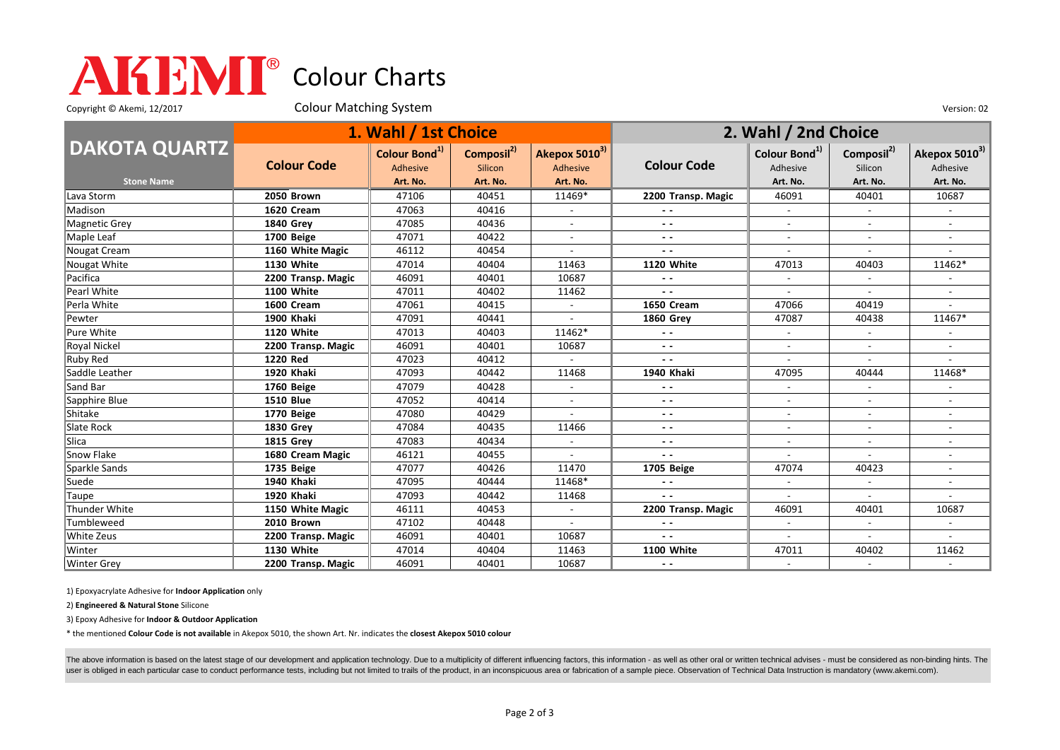## Colour Charts

Copyright © Akemi, 12/2017 Colour Matching System Consumers Colour Matching System Version: 02

|                      | 1. Wahl / 1st Choice |                           |                        |                           | 2. Wahl / 2nd Choice     |                           |                              |                           |
|----------------------|----------------------|---------------------------|------------------------|---------------------------|--------------------------|---------------------------|------------------------------|---------------------------|
| <b>DAKOTA QUARTZ</b> |                      | Colour Bond <sup>1)</sup> | Composil <sup>2)</sup> | Akepox 5010 <sup>3)</sup> |                          | Colour Bond <sup>1)</sup> | Composil <sup>2)</sup>       | Akepox 5010 <sup>3)</sup> |
|                      | <b>Colour Code</b>   | Adhesive                  | Silicon                | Adhesive                  | <b>Colour Code</b>       | Adhesive                  | Silicon                      | Adhesive                  |
| <b>Stone Name</b>    |                      | Art. No.                  | Art. No.               | Art. No.                  |                          | Art. No.                  | Art. No.                     | Art. No.                  |
| Lava Storm           | <b>2050 Brown</b>    | 47106                     | 40451                  | 11469*                    | 2200 Transp. Magic       | 46091                     | 40401                        | 10687                     |
| Madison              | 1620 Cream           | 47063                     | 40416                  |                           | $ -$                     |                           |                              |                           |
| Magnetic Grey        | <b>1840 Grev</b>     | 47085                     | 40436                  |                           | $ -$                     | $\blacksquare$            |                              |                           |
| Maple Leaf           | 1700 Beige           | 47071                     | 40422                  | $\overline{\phantom{a}}$  | $ -$                     | $\overline{\phantom{a}}$  | $\overline{\phantom{a}}$     | $\overline{\phantom{a}}$  |
| Nougat Cream         | 1160 White Magic     | 46112                     | 40454                  |                           | $ -$                     |                           |                              |                           |
| Nougat White         | <b>1130 White</b>    | 47014                     | 40404                  | 11463                     | 1120 White               | 47013                     | 40403                        | 11462*                    |
| Pacifica             | 2200 Transp. Magic   | 46091                     | 40401                  | 10687                     | $\sim$ $\sim$            | $\overline{\phantom{a}}$  |                              |                           |
| Pearl White          | 1100 White           | 47011                     | 40402                  | 11462                     | $ -$                     | $\blacksquare$            | $\overline{\phantom{a}}$     | $\overline{\phantom{a}}$  |
| Perla White          | 1600 Cream           | 47061                     | 40415                  |                           | <b>1650 Cream</b>        | 47066                     | 40419                        |                           |
| Pewter               | 1900 Khaki           | 47091                     | 40441                  |                           | <b>1860 Grey</b>         | 47087                     | 40438                        | 11467*                    |
| Pure White           | 1120 White           | 47013                     | 40403                  | 11462*                    | $ -$                     | $\sim$                    | $\sim$                       |                           |
| Royal Nickel         | 2200 Transp. Magic   | 46091                     | 40401                  | 10687                     | $ -$                     |                           | $\sim$                       |                           |
| Ruby Red             | 1220 Red             | 47023                     | 40412                  |                           | $ -$                     |                           |                              |                           |
| Saddle Leather       | 1920 Khaki           | 47093                     | 40442                  | 11468                     | 1940 Khaki               | 47095                     | 40444                        | 11468*                    |
| Sand Bar             | 1760 Beige           | 47079                     | 40428                  | $\overline{\phantom{a}}$  | $ -$                     | $\overline{\phantom{a}}$  | $\qquad \qquad \blacksquare$ |                           |
| Sapphire Blue        | <b>1510 Blue</b>     | 47052                     | 40414                  | $\overline{a}$            | $ -$                     |                           |                              |                           |
| Shitake              | 1770 Beige           | 47080                     | 40429                  |                           | $ -$                     | $\overline{\phantom{a}}$  |                              | $\blacksquare$            |
| Slate Rock           | <b>1830 Grey</b>     | 47084                     | 40435                  | 11466                     | $ -$                     |                           |                              |                           |
| <b>Slica</b>         | <b>1815 Grey</b>     | 47083                     | 40434                  |                           | $ -$                     | $\overline{\phantom{a}}$  | $\overline{\phantom{a}}$     | $\overline{\phantom{a}}$  |
| Snow Flake           | 1680 Cream Magic     | 46121                     | 40455                  |                           | $\sim$ $\sim$            |                           |                              |                           |
| Sparkle Sands        | 1735 Beige           | 47077                     | 40426                  | 11470                     | 1705 Beige               | 47074                     | 40423                        | $\blacksquare$            |
| Suede                | 1940 Khaki           | 47095                     | 40444                  | 11468*                    | $\overline{\phantom{a}}$ | $\overline{\phantom{a}}$  | $\overline{\phantom{a}}$     | $\overline{\phantom{a}}$  |
| Taupe                | 1920 Khaki           | 47093                     | 40442                  | 11468                     | $\sim$ $\sim$            | $\sim$                    | $\overline{a}$               |                           |
| Thunder White        | 1150 White Magic     | 46111                     | 40453                  |                           | 2200 Transp. Magic       | 46091                     | 40401                        | 10687                     |
| Tumbleweed           | 2010 Brown           | 47102                     | 40448                  |                           | $\overline{\phantom{a}}$ | $\blacksquare$            |                              |                           |
| White Zeus           | 2200 Transp. Magic   | 46091                     | 40401                  | 10687                     | $ -$                     | $\overline{\phantom{a}}$  | $\overline{\phantom{a}}$     |                           |
| Winter               | 1130 White           | 47014                     | 40404                  | 11463                     | 1100 White               | 47011                     | 40402                        | 11462                     |
| <b>Winter Grey</b>   | 2200 Transp. Magic   | 46091                     | 40401                  | 10687                     | $ -$                     | $\overline{\phantom{a}}$  |                              | $\blacksquare$            |

1) Epoxyacrylate Adhesive for **Indoor Application** only

2) **Engineered & Natural Stone** Silicone

3) Epoxy Adhesive for **Indoor & Outdoor Application**

\* the mentioned **Colour Code is not available** in Akepox 5010, the shown Art. Nr. indicates the **closest Akepox 5010 colour**

The above information is based on the latest stage of our development and application technology. Due to a multiplicity of different influencing factors, this information - as well as other oral or written technical advise user is obliged in each particular case to conduct performance tests, including but not limited to trails of the product, in an inconspicuous area or fabrication of a sample piece. Observation of Technical Data Instruction